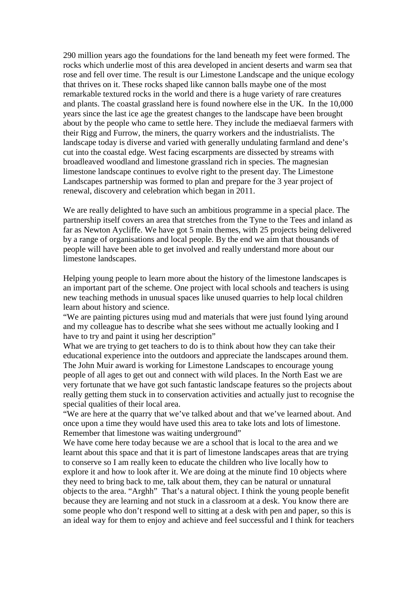290 million years ago the foundations for the land beneath my feet were formed. The rocks which underlie most of this area developed in ancient deserts and warm sea that rose and fell over time. The result is our Limestone Landscape and the unique ecology that thrives on it. These rocks shaped like cannon balls maybe one of the most remarkable textured rocks in the world and there is a huge variety of rare creatures and plants. The coastal grassland here is found nowhere else in the UK. In the 10,000 years since the last ice age the greatest changes to the landscape have been brought about by the people who came to settle here. They include the mediaeval farmers with their Rigg and Furrow, the miners, the quarry workers and the industrialists. The landscape today is diverse and varied with generally undulating farmland and dene's cut into the coastal edge. West facing escarpments are dissected by streams with broadleaved woodland and limestone grassland rich in species. The magnesian limestone landscape continues to evolve right to the present day. The Limestone Landscapes partnership was formed to plan and prepare for the 3 year project of renewal, discovery and celebration which began in 2011.

We are really delighted to have such an ambitious programme in a special place. The partnership itself covers an area that stretches from the Tyne to the Tees and inland as far as Newton Aycliffe. We have got 5 main themes, with 25 projects being delivered by a range of organisations and local people. By the end we aim that thousands of people will have been able to get involved and really understand more about our limestone landscapes.

Helping young people to learn more about the history of the limestone landscapes is an important part of the scheme. One project with local schools and teachers is using new teaching methods in unusual spaces like unused quarries to help local children learn about history and science.

"We are painting pictures using mud and materials that were just found lying around and my colleague has to describe what she sees without me actually looking and I have to try and paint it using her description"

What we are trying to get teachers to do is to think about how they can take their educational experience into the outdoors and appreciate the landscapes around them. The John Muir award is working for Limestone Landscapes to encourage young people of all ages to get out and connect with wild places. In the North East we are very fortunate that we have got such fantastic landscape features so the projects about really getting them stuck in to conservation activities and actually just to recognise the special qualities of their local area.

"We are here at the quarry that we've talked about and that we've learned about. And once upon a time they would have used this area to take lots and lots of limestone. Remember that limestone was waiting underground"

We have come here today because we are a school that is local to the area and we learnt about this space and that it is part of limestone landscapes areas that are trying to conserve so I am really keen to educate the children who live locally how to explore it and how to look after it. We are doing at the minute find 10 objects where they need to bring back to me, talk about them, they can be natural or unnatural objects to the area. "Arghh" That's a natural object. I think the young people benefit because they are learning and not stuck in a classroom at a desk. You know there are some people who don't respond well to sitting at a desk with pen and paper, so this is an ideal way for them to enjoy and achieve and feel successful and I think for teachers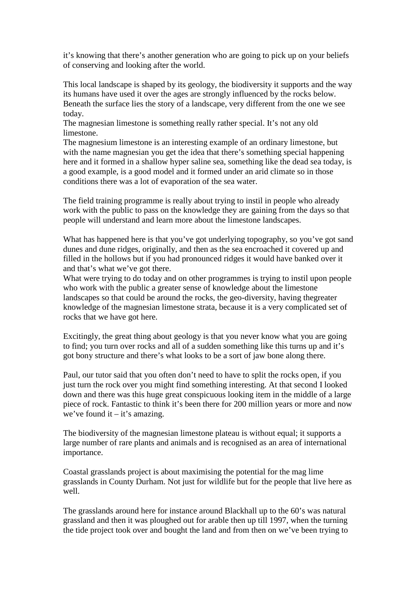it's knowing that there's another generation who are going to pick up on your beliefs of conserving and looking after the world.

This local landscape is shaped by its geology, the biodiversity it supports and the way its humans have used it over the ages are strongly influenced by the rocks below. Beneath the surface lies the story of a landscape, very different from the one we see today.

The magnesian limestone is something really rather special. It's not any old limestone.

The magnesium limestone is an interesting example of an ordinary limestone, but with the name magnesian you get the idea that there's something special happening here and it formed in a shallow hyper saline sea, something like the dead sea today, is a good example, is a good model and it formed under an arid climate so in those conditions there was a lot of evaporation of the sea water.

The field training programme is really about trying to instil in people who already work with the public to pass on the knowledge they are gaining from the days so that people will understand and learn more about the limestone landscapes.

What has happened here is that you've got underlying topography, so you've got sand dunes and dune ridges, originally, and then as the sea encroached it covered up and filled in the hollows but if you had pronounced ridges it would have banked over it and that's what we've got there.

What were trying to do today and on other programmes is trying to instil upon people who work with the public a greater sense of knowledge about the limestone landscapes so that could be around the rocks, the geo-diversity, having thegreater knowledge of the magnesian limestone strata, because it is a very complicated set of rocks that we have got here.

Excitingly, the great thing about geology is that you never know what you are going to find; you turn over rocks and all of a sudden something like this turns up and it's got bony structure and there's what looks to be a sort of jaw bone along there.

Paul, our tutor said that you often don't need to have to split the rocks open, if you just turn the rock over you might find something interesting. At that second I looked down and there was this huge great conspicuous looking item in the middle of a large piece of rock. Fantastic to think it's been there for 200 million years or more and now we've found it  $-$  it's amazing.

The biodiversity of the magnesian limestone plateau is without equal; it supports a large number of rare plants and animals and is recognised as an area of international importance.

Coastal grasslands project is about maximising the potential for the mag lime grasslands in County Durham. Not just for wildlife but for the people that live here as well.

The grasslands around here for instance around Blackhall up to the 60's was natural grassland and then it was ploughed out for arable then up till 1997, when the turning the tide project took over and bought the land and from then on we've been trying to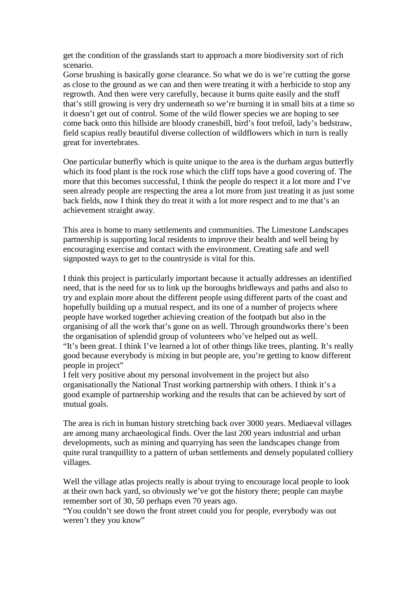get the condition of the grasslands start to approach a more biodiversity sort of rich scenario.

Gorse brushing is basically gorse clearance. So what we do is we're cutting the gorse as close to the ground as we can and then were treating it with a herbicide to stop any regrowth. And then were very carefully, because it burns quite easily and the stuff that's still growing is very dry underneath so we're burning it in small bits at a time so it doesn't get out of control. Some of the wild flower species we are hoping to see come back onto this hillside are bloody cranesbill, bird's foot trefoil, lady's bedstraw, field scapius really beautiful diverse collection of wildflowers which in turn is really great for invertebrates.

One particular butterfly which is quite unique to the area is the durham argus butterfly which its food plant is the rock rose which the cliff tops have a good covering of. The more that this becomes successful, I think the people do respect it a lot more and I've seen already people are respecting the area a lot more from just treating it as just some back fields, now I think they do treat it with a lot more respect and to me that's an achievement straight away.

This area is home to many settlements and communities. The Limestone Landscapes partnership is supporting local residents to improve their health and well being by encouraging exercise and contact with the environment. Creating safe and well signposted ways to get to the countryside is vital for this.

I think this project is particularly important because it actually addresses an identified need, that is the need for us to link up the boroughs bridleways and paths and also to try and explain more about the different people using different parts of the coast and hopefully building up a mutual respect, and its one of a number of projects where people have worked together achieving creation of the footpath but also in the organising of all the work that's gone on as well. Through groundworks there's been the organisation of splendid group of volunteers who've helped out as well. "It's been great. I think I've learned a lot of other things like trees, planting. It's really good because everybody is mixing in but people are, you're getting to know different people in project"

I felt very positive about my personal involvement in the project but also organisationally the National Trust working partnership with others. I think it's a good example of partnership working and the results that can be achieved by sort of mutual goals.

The area is rich in human history stretching back over 3000 years. Mediaeval villages are among many archaeological finds. Over the last 200 years industrial and urban developments, such as mining and quarrying has seen the landscapes change from quite rural tranquillity to a pattern of urban settlements and densely populated colliery villages.

Well the village atlas projects really is about trying to encourage local people to look at their own back yard, so obviously we've got the history there; people can maybe remember sort of 30, 50 perhaps even 70 years ago.

"You couldn't see down the front street could you for people, everybody was out weren't they you know"